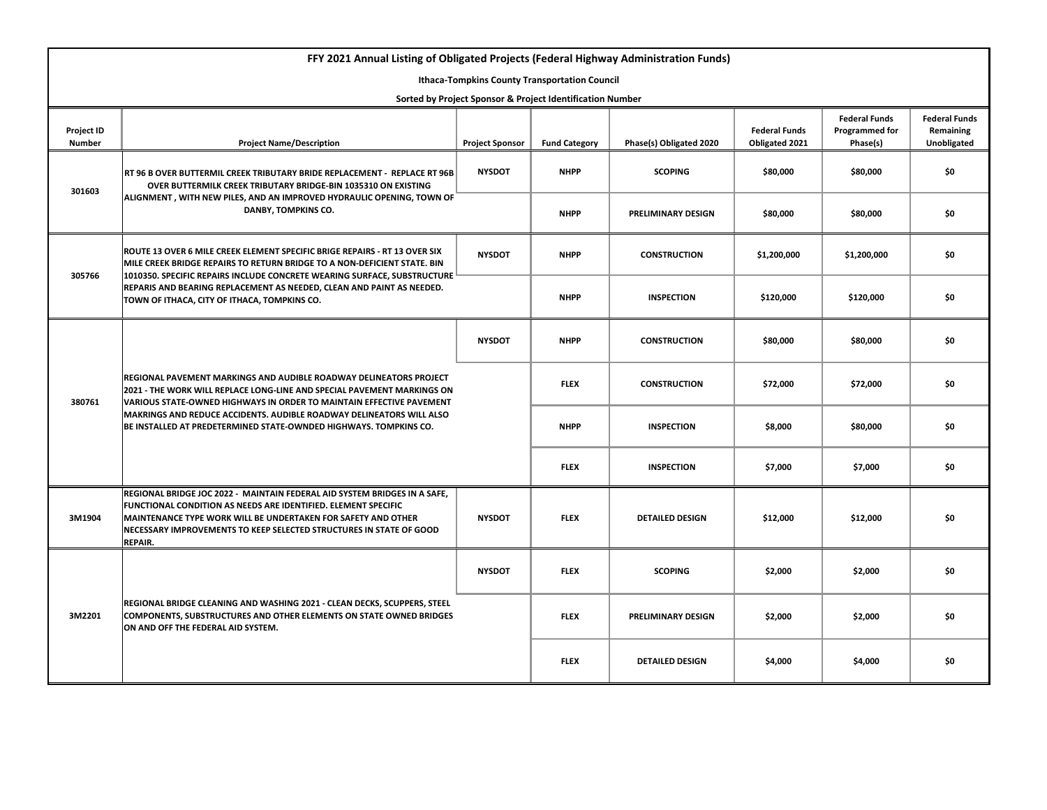| FFY 2021 Annual Listing of Obligated Projects (Federal Highway Administration Funds) |                                                                                                                                                                                                                                                                                                                                                                    |                        |                      |                           |                                        |                                                    |                                                         |
|--------------------------------------------------------------------------------------|--------------------------------------------------------------------------------------------------------------------------------------------------------------------------------------------------------------------------------------------------------------------------------------------------------------------------------------------------------------------|------------------------|----------------------|---------------------------|----------------------------------------|----------------------------------------------------|---------------------------------------------------------|
| <b>Ithaca-Tompkins County Transportation Council</b>                                 |                                                                                                                                                                                                                                                                                                                                                                    |                        |                      |                           |                                        |                                                    |                                                         |
| Sorted by Project Sponsor & Project Identification Number                            |                                                                                                                                                                                                                                                                                                                                                                    |                        |                      |                           |                                        |                                                    |                                                         |
| Project ID<br><b>Number</b>                                                          | <b>Project Name/Description</b>                                                                                                                                                                                                                                                                                                                                    | <b>Project Sponsor</b> | <b>Fund Category</b> | Phase(s) Obligated 2020   | <b>Federal Funds</b><br>Obligated 2021 | <b>Federal Funds</b><br>Programmed for<br>Phase(s) | <b>Federal Funds</b><br>Remaining<br><b>Unobligated</b> |
| 301603                                                                               | RT 96 B OVER BUTTERMIL CREEK TRIBUTARY BRIDE REPLACEMENT - REPLACE RT 96B<br>OVER BUTTERMILK CREEK TRIBUTARY BRIDGE-BIN 1035310 ON EXISTING<br>ALIGNMENT, WITH NEW PILES, AND AN IMPROVED HYDRAULIC OPENING, TOWN OF<br>DANBY, TOMPKINS CO.                                                                                                                        | <b>NYSDOT</b>          | <b>NHPP</b>          | <b>SCOPING</b>            | \$80,000                               | \$80,000                                           | \$0                                                     |
|                                                                                      |                                                                                                                                                                                                                                                                                                                                                                    |                        | <b>NHPP</b>          | PRELIMINARY DESIGN        | \$80,000                               | \$80,000                                           | \$0                                                     |
| 305766                                                                               | ROUTE 13 OVER 6 MILE CREEK ELEMENT SPECIFIC BRIGE REPAIRS - RT 13 OVER SIX<br>MILE CREEK BRIDGE REPAIRS TO RETURN BRIDGE TO A NON-DEFICIENT STATE. BIN<br>1010350. SPECIFIC REPAIRS INCLUDE CONCRETE WEARING SURFACE, SUBSTRUCTURE L<br>REPARIS AND BEARING REPLACEMENT AS NEEDED, CLEAN AND PAINT AS NEEDED.<br>TOWN OF ITHACA, CITY OF ITHACA, TOMPKINS CO.      | <b>NYSDOT</b>          | <b>NHPP</b>          | <b>CONSTRUCTION</b>       | \$1,200,000                            | \$1,200,000                                        | \$0                                                     |
|                                                                                      |                                                                                                                                                                                                                                                                                                                                                                    |                        | <b>NHPP</b>          | <b>INSPECTION</b>         | \$120,000                              | \$120,000                                          | \$0                                                     |
| 380761                                                                               | REGIONAL PAVEMENT MARKINGS AND AUDIBLE ROADWAY DELINEATORS PROJECT<br>2021 - THE WORK WILL REPLACE LONG-LINE AND SPECIAL PAVEMENT MARKINGS ON<br>VARIOUS STATE-OWNED HIGHWAYS IN ORDER TO MAINTAIN EFFECTIVE PAVEMENT<br>MAKRINGS AND REDUCE ACCIDENTS. AUDIBLE ROADWAY DELINEATORS WILL ALSO<br>BE INSTALLED AT PREDETERMINED STATE-OWNDED HIGHWAYS. TOMPKINS CO. | <b>NYSDOT</b>          | <b>NHPP</b>          | <b>CONSTRUCTION</b>       | \$80,000                               | \$80,000                                           | \$0                                                     |
|                                                                                      |                                                                                                                                                                                                                                                                                                                                                                    |                        | <b>FLEX</b>          | <b>CONSTRUCTION</b>       | \$72,000                               | \$72,000                                           | \$0                                                     |
|                                                                                      |                                                                                                                                                                                                                                                                                                                                                                    |                        | <b>NHPP</b>          | <b>INSPECTION</b>         | \$8,000                                | \$80,000                                           | \$0                                                     |
|                                                                                      |                                                                                                                                                                                                                                                                                                                                                                    |                        | <b>FLEX</b>          | <b>INSPECTION</b>         | \$7,000                                | \$7,000                                            | \$0                                                     |
| 3M1904                                                                               | REGIONAL BRIDGE JOC 2022 - MAINTAIN FEDERAL AID SYSTEM BRIDGES IN A SAFE,<br><b>FUNCTIONAL CONDITION AS NEEDS ARE IDENTIFIED. ELEMENT SPECIFIC</b><br>MAINTENANCE TYPE WORK WILL BE UNDERTAKEN FOR SAFETY AND OTHER<br>NECESSARY IMPROVEMENTS TO KEEP SELECTED STRUCTURES IN STATE OF GOOD<br>REPAIR.                                                              | <b>NYSDOT</b>          | <b>FLEX</b>          | <b>DETAILED DESIGN</b>    | \$12,000                               | \$12,000                                           | \$0                                                     |
| 3M2201                                                                               | REGIONAL BRIDGE CLEANING AND WASHING 2021 - CLEAN DECKS, SCUPPERS, STEEL<br><b>COMPONENTS, SUBSTRUCTURES AND OTHER ELEMENTS ON STATE OWNED BRIDGES</b><br>ON AND OFF THE FEDERAL AID SYSTEM.                                                                                                                                                                       | <b>NYSDOT</b>          | <b>FLEX</b>          | <b>SCOPING</b>            | \$2,000                                | \$2,000                                            | \$0                                                     |
|                                                                                      |                                                                                                                                                                                                                                                                                                                                                                    |                        | <b>FLEX</b>          | <b>PRELIMINARY DESIGN</b> | \$2,000                                | \$2,000                                            | \$0                                                     |
|                                                                                      |                                                                                                                                                                                                                                                                                                                                                                    |                        | <b>FLEX</b>          | <b>DETAILED DESIGN</b>    | \$4,000                                | \$4,000                                            | \$0                                                     |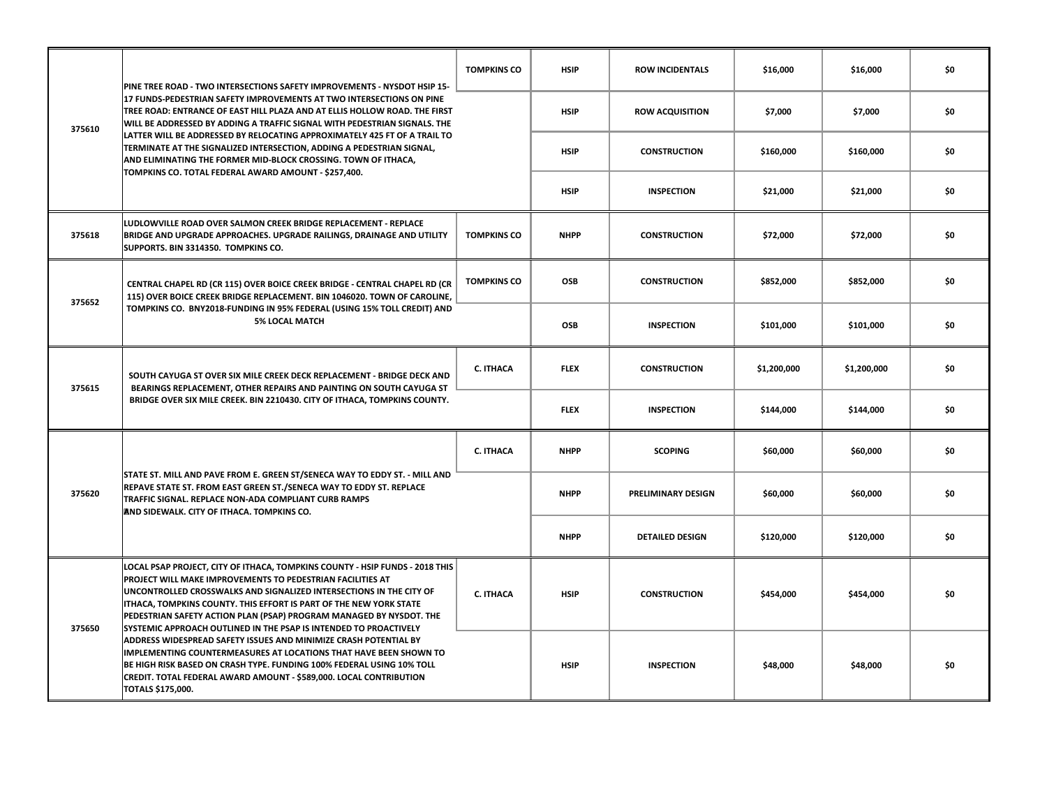| 375610 | PINE TREE ROAD - TWO INTERSECTIONS SAFETY IMPROVEMENTS - NYSDOT HSIP 15-<br>17 FUNDS-PEDESTRIAN SAFETY IMPROVEMENTS AT TWO INTERSECTIONS ON PINE<br>TREE ROAD: ENTRANCE OF EAST HILL PLAZA AND AT ELLIS HOLLOW ROAD. THE FIRST<br>WILL BE ADDRESSED BY ADDING A TRAFFIC SIGNAL WITH PEDESTRIAN SIGNALS. THE<br>LATTER WILL BE ADDRESSED BY RELOCATING APPROXIMATELY 425 FT OF A TRAIL TO<br>TERMINATE AT THE SIGNALIZED INTERSECTION, ADDING A PEDESTRIAN SIGNAL,<br>AND ELIMINATING THE FORMER MID-BLOCK CROSSING. TOWN OF ITHACA,<br>TOMPKINS CO. TOTAL FEDERAL AWARD AMOUNT - \$257,400.                                                                                                                                                                    | <b>TOMPKINS CO</b> | <b>HSIP</b> | <b>ROW INCIDENTALS</b>    | \$16,000    | \$16,000    | \$0 |
|--------|----------------------------------------------------------------------------------------------------------------------------------------------------------------------------------------------------------------------------------------------------------------------------------------------------------------------------------------------------------------------------------------------------------------------------------------------------------------------------------------------------------------------------------------------------------------------------------------------------------------------------------------------------------------------------------------------------------------------------------------------------------------|--------------------|-------------|---------------------------|-------------|-------------|-----|
|        |                                                                                                                                                                                                                                                                                                                                                                                                                                                                                                                                                                                                                                                                                                                                                                |                    | <b>HSIP</b> | <b>ROW ACQUISITION</b>    | \$7,000     | \$7,000     | \$0 |
|        |                                                                                                                                                                                                                                                                                                                                                                                                                                                                                                                                                                                                                                                                                                                                                                |                    | <b>HSIP</b> | <b>CONSTRUCTION</b>       | \$160,000   | \$160,000   | \$0 |
|        |                                                                                                                                                                                                                                                                                                                                                                                                                                                                                                                                                                                                                                                                                                                                                                |                    | <b>HSIP</b> | <b>INSPECTION</b>         | \$21,000    | \$21,000    | \$0 |
| 375618 | LUDLOWVILLE ROAD OVER SALMON CREEK BRIDGE REPLACEMENT - REPLACE<br>BRIDGE AND UPGRADE APPROACHES. UPGRADE RAILINGS, DRAINAGE AND UTILITY<br>SUPPORTS. BIN 3314350. TOMPKINS CO.                                                                                                                                                                                                                                                                                                                                                                                                                                                                                                                                                                                | <b>TOMPKINS CO</b> | <b>NHPP</b> | <b>CONSTRUCTION</b>       | \$72,000    | \$72,000    | \$0 |
| 375652 | CENTRAL CHAPEL RD (CR 115) OVER BOICE CREEK BRIDGE - CENTRAL CHAPEL RD (CR<br>115) OVER BOICE CREEK BRIDGE REPLACEMENT. BIN 1046020. TOWN OF CAROLINE,<br>TOMPKINS CO. BNY2018-FUNDING IN 95% FEDERAL (USING 15% TOLL CREDIT) AND<br><b>5% LOCAL MATCH</b>                                                                                                                                                                                                                                                                                                                                                                                                                                                                                                     | <b>TOMPKINS CO</b> | OSB         | <b>CONSTRUCTION</b>       | \$852,000   | \$852,000   | \$0 |
|        |                                                                                                                                                                                                                                                                                                                                                                                                                                                                                                                                                                                                                                                                                                                                                                |                    | OSB         | <b>INSPECTION</b>         | \$101,000   | \$101,000   | \$0 |
| 375615 | SOUTH CAYUGA ST OVER SIX MILE CREEK DECK REPLACEMENT - BRIDGE DECK AND<br>BEARINGS REPLACEMENT, OTHER REPAIRS AND PAINTING ON SOUTH CAYUGA ST<br>BRIDGE OVER SIX MILE CREEK. BIN 2210430. CITY OF ITHACA, TOMPKINS COUNTY.                                                                                                                                                                                                                                                                                                                                                                                                                                                                                                                                     | C. ITHACA          | <b>FLEX</b> | <b>CONSTRUCTION</b>       | \$1,200,000 | \$1,200,000 | \$0 |
|        |                                                                                                                                                                                                                                                                                                                                                                                                                                                                                                                                                                                                                                                                                                                                                                |                    | <b>FLEX</b> | <b>INSPECTION</b>         | \$144,000   | \$144,000   | \$0 |
| 375620 | STATE ST. MILL AND PAVE FROM E. GREEN ST/SENECA WAY TO EDDY ST. - MILL AND<br>REPAVE STATE ST. FROM EAST GREEN ST./SENECA WAY TO EDDY ST. REPLACE<br>TRAFFIC SIGNAL. REPLACE NON-ADA COMPLIANT CURB RAMPS<br>AND SIDEWALK, CITY OF ITHACA, TOMPKINS CO.                                                                                                                                                                                                                                                                                                                                                                                                                                                                                                        | C. ITHACA          | <b>NHPP</b> | <b>SCOPING</b>            | \$60,000    | \$60,000    | \$0 |
|        |                                                                                                                                                                                                                                                                                                                                                                                                                                                                                                                                                                                                                                                                                                                                                                |                    | <b>NHPP</b> | <b>PRELIMINARY DESIGN</b> | \$60,000    | \$60,000    | \$0 |
|        |                                                                                                                                                                                                                                                                                                                                                                                                                                                                                                                                                                                                                                                                                                                                                                |                    | <b>NHPP</b> | <b>DETAILED DESIGN</b>    | \$120,000   | \$120,000   | \$0 |
| 375650 | LOCAL PSAP PROJECT, CITY OF ITHACA, TOMPKINS COUNTY - HSIP FUNDS - 2018 THIS<br>PROJECT WILL MAKE IMPROVEMENTS TO PEDESTRIAN FACILITIES AT<br>UNCONTROLLED CROSSWALKS AND SIGNALIZED INTERSECTIONS IN THE CITY OF<br>ITHACA, TOMPKINS COUNTY. THIS EFFORT IS PART OF THE NEW YORK STATE<br>PEDESTRIAN SAFETY ACTION PLAN (PSAP) PROGRAM MANAGED BY NYSDOT. THE<br>SYSTEMIC APPROACH OUTLINED IN THE PSAP IS INTENDED TO PROACTIVELY<br>ADDRESS WIDESPREAD SAFETY ISSUES AND MINIMIZE CRASH POTENTIAL BY<br><b>IMPLEMENTING COUNTERMEASURES AT LOCATIONS THAT HAVE BEEN SHOWN TO</b><br>BE HIGH RISK BASED ON CRASH TYPE. FUNDING 100% FEDERAL USING 10% TOLL<br>CREDIT. TOTAL FEDERAL AWARD AMOUNT - \$589,000. LOCAL CONTRIBUTION<br><b>TOTALS \$175,000.</b> | C. ITHACA          | <b>HSIP</b> | <b>CONSTRUCTION</b>       | \$454,000   | \$454,000   | \$0 |
|        |                                                                                                                                                                                                                                                                                                                                                                                                                                                                                                                                                                                                                                                                                                                                                                |                    | <b>HSIP</b> | <b>INSPECTION</b>         | \$48,000    | \$48,000    | \$0 |